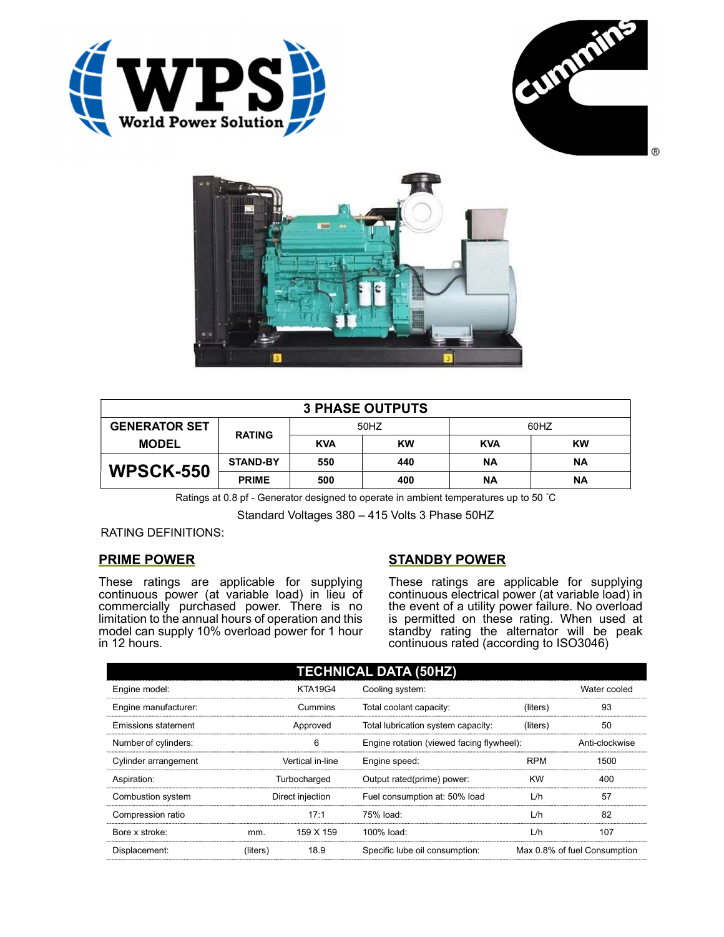





| <b>3 PHASE OUTPUTS</b> |                 |            |           |            |           |  |
|------------------------|-----------------|------------|-----------|------------|-----------|--|
| <b>GENERATOR SET</b>   | <b>RATING</b>   | 50HZ       |           | 60HZ       |           |  |
| <b>MODEL</b>           |                 | <b>KVA</b> | <b>KW</b> | <b>KVA</b> | <b>KW</b> |  |
| <b>WPSCK-550</b>       | <b>STAND-BY</b> | 550        | 440       | ΝA         | ΝA        |  |
|                        | <b>PRIME</b>    | 500        | 400       | ΝA         | <b>NA</b> |  |

Ratings at 0.8 pf - Generator designed to operate in ambient temperatures up to 50 °C

Standard Voltages 380 – 415 Volts 3 Phase 50HZ

RATING DEFINITIONS:

### PRIME POWER

These ratings are applicable for supplying continuous power (at variable load) in lieu of commercially purchased power. There is no limitation to the annual hours of operation and this model can supply 10% overload power for 1 hour in 12 hours.

# STANDBY POWER

These ratings are applicable for supplying continuous electrical power (at variable load) in the event of a utility power failure. No overload is permitted on these rating. When used at standby rating the alternator will be peak continuous rated (according to ISO3046)

| <b>TECHNICAL DATA (50HZ)</b> |                  |                |                                           |            |                              |  |
|------------------------------|------------------|----------------|-------------------------------------------|------------|------------------------------|--|
| Engine model:                |                  | <b>KTA19G4</b> | Cooling system:                           |            | Water cooled                 |  |
| Engine manufacturer:         |                  | Cummins        | Total coolant capacity:                   | (liters)   | 93                           |  |
| <b>Emissions statement</b>   | Approved         |                | Total lubrication system capacity:        | (liters)   | 50                           |  |
| Number of cylinders:         | 6                |                | Engine rotation (viewed facing flywheel): |            | Anti-clockwise               |  |
| Cylinder arrangement         | Vertical in-line |                | Engine speed:                             | <b>RPM</b> | 1500                         |  |
| Aspiration:                  | Turbocharged     |                | Output rated(prime) power:                | <b>KW</b>  | 400                          |  |
| Combustion system            | Direct injection |                | Fuel consumption at: 50% load             | L/h        | 57                           |  |
| Compression ratio            |                  | 17:1           | 75% load:                                 | L/h        | 82                           |  |
| Bore x stroke:               | mm.              | 159 X 159      | 100% load:                                | L/h        | 107                          |  |
| Displacement:                | (liters)         | 18.9           | Specific lube oil consumption:            |            | Max 0.8% of fuel Consumption |  |